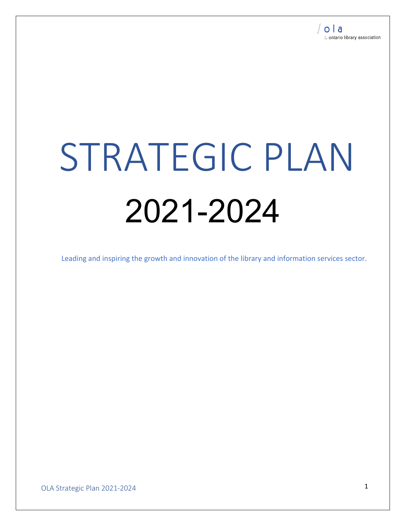# STRATEGIC PLAN 2021-2024

Leading and inspiring the growth and innovation of the library and information services sector.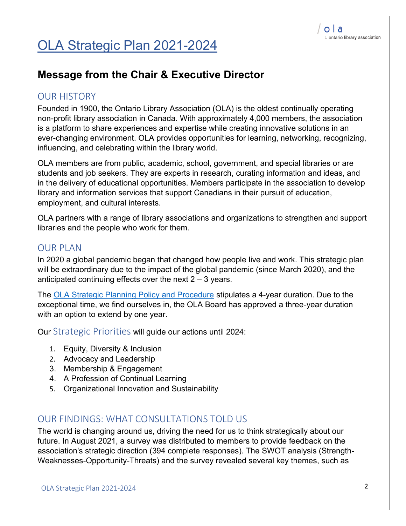# OLA Strategic Plan 2021-2024

#### **Message from the Chair & Executive Director**

#### OUR HISTORY

Founded in 1900, the Ontario Library Association (OLA) is the oldest continually operating non-profit library association in Canada. With approximately 4,000 members, the association is a platform to share experiences and expertise while creating innovative solutions in an ever-changing environment. OLA provides opportunities for learning, networking, recognizing, influencing, and celebrating within the library world.

OLA members are from public, academic, school, government, and special libraries or are students and job seekers. They are experts in research, curating information and ideas, and in the delivery of educational opportunities. Members participate in the association to develop library and information services that support Canadians in their pursuit of education, employment, and cultural interests.

OLA partners with a range of library associations and organizations to strengthen and support libraries and the people who work for them.

#### OUR PLAN

In 2020 a global pandemic began that changed how people live and work. This strategic plan will be extraordinary due to the impact of the global pandemic (since March 2020), and the anticipated continuing effects over the next  $2 - 3$  years.

The OLA Strategic Planning Policy and Procedure stipulates a 4-year duration. Due to the exceptional time, we find ourselves in, the OLA Board has approved a three-year duration with an option to extend by one year.

Our Strategic Priorities will guide our actions until 2024:

- 1. Equity, Diversity & Inclusion
- 2. Advocacy and Leadership
- 3. Membership & Engagement
- 4. A Profession of Continual Learning
- 5. Organizational Innovation and Sustainability

#### OUR FINDINGS: WHAT CONSULTATIONS TOLD US

The world is changing around us, driving the need for us to think strategically about our future. In August 2021, a survey was distributed to members to provide feedback on the association's strategic direction (394 complete responses). The SWOT analysis (Strength-Weaknesses-Opportunity-Threats) and the survey revealed several key themes, such as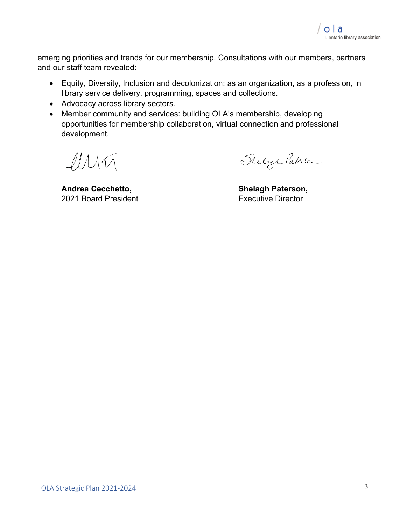emerging priorities and trends for our membership. Consultations with our members, partners and our staff team revealed:

- Equity, Diversity, Inclusion and decolonization: as an organization, as a profession, in library service delivery, programming, spaces and collections.
- Advocacy across library sectors.
- Member community and services: building OLA's membership, developing opportunities for membership collaboration, virtual connection and professional development.

 $MN\bigcap$ 

**Andrea Cecchetto,**  2021 Board President

Stelage Patersa

**Shelagh Paterson,**  Executive Director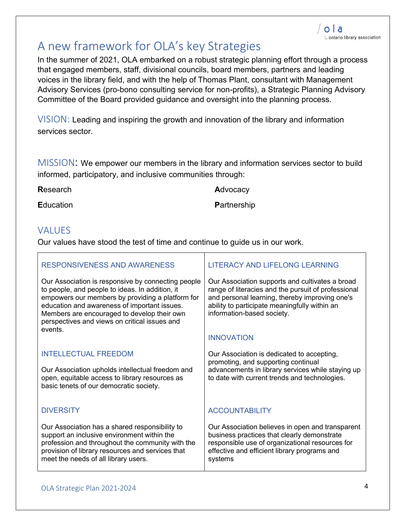### A new framework for OLA's key Strategies

In the summer of 2021, OLA embarked on a robust strategic planning effort through a process that engaged members, staff, divisional councils, board members, partners and leading voices in the library field, and with the help of Thomas Plant, consultant with Management Advisory Services (pro-bono consulting service for non-profits), a Strategic Planning Advisory Committee of the Board provided guidance and oversight into the planning process.

VISION: Leading and inspiring the growth and innovation of the library and information services sector.

MISSION: We empower our members in the library and information services sector to build informed, participatory, and inclusive communities through:

**R**esearch

**A**dvocacy

**E**ducation

**P**artnership

#### **VALUES**

Our values have stood the test of time and continue to guide us in our work.

| RESPONSIVENESS AND AWARENESS                                                                                                                                                                                                                                                                                        | <b>LITERACY AND LIFELONG LEARNING</b>                                                                                                                                                                                                   |
|---------------------------------------------------------------------------------------------------------------------------------------------------------------------------------------------------------------------------------------------------------------------------------------------------------------------|-----------------------------------------------------------------------------------------------------------------------------------------------------------------------------------------------------------------------------------------|
| Our Association is responsive by connecting people<br>to people, and people to ideas. In addition, it<br>empowers our members by providing a platform for<br>education and awareness of important issues.<br>Members are encouraged to develop their own<br>perspectives and views on critical issues and<br>events | Our Association supports and cultivates a broad<br>range of literacies and the pursuit of professional<br>and personal learning, thereby improving one's<br>ability to participate meaningfully within an<br>information-based society. |
|                                                                                                                                                                                                                                                                                                                     | <b>INNOVATION</b>                                                                                                                                                                                                                       |
| <b>INTELLECTUAL FREEDOM</b>                                                                                                                                                                                                                                                                                         | Our Association is dedicated to accepting,                                                                                                                                                                                              |
| Our Association upholds intellectual freedom and<br>open, equitable access to library resources as<br>basic tenets of our democratic society.                                                                                                                                                                       | promoting, and supporting continual<br>advancements in library services while staying up<br>to date with current trends and technologies.                                                                                               |
| <b>DIVERSITY</b>                                                                                                                                                                                                                                                                                                    | <b>ACCOUNTABILITY</b>                                                                                                                                                                                                                   |
| Our Association has a shared responsibility to<br>support an inclusive environment within the<br>profession and throughout the community with the<br>provision of library resources and services that<br>meet the needs of all library users.                                                                       | Our Association believes in open and transparent<br>business practices that clearly demonstrate<br>responsible use of organizational resources for<br>effective and efficient library programs and<br>systems                           |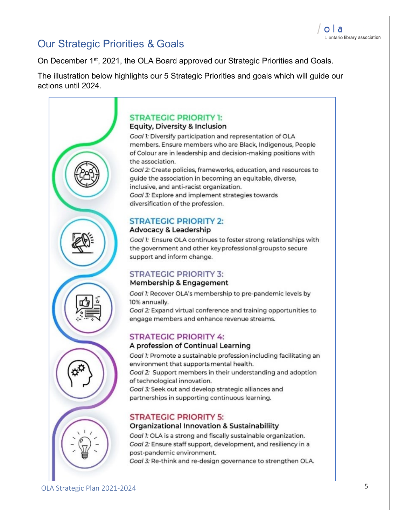#### Our Strategic Priorities & Goals

On December 1<sup>st</sup>, 2021, the OLA Board approved our Strategic Priorities and Goals.

The illustration below highlights our 5 Strategic Priorities and goals which will guide our actions until 2024.



#### **STRATEGIC PRIORITY 1:**

#### **Equity, Diversity & Inclusion**

Goal 1: Diversify participation and representation of OLA members. Ensure members who are Black, Indigenous, People of Colour are in leadership and decision-making positions with the association.

Goal 2: Create policies, frameworks, education, and resources to guide the association in becoming an equitable, diverse, inclusive, and anti-racist organization. Goal 3: Explore and implement strategies towards diversification of the profession.

#### **STRATEGIC PRIORITY 2:**

#### **Advocacy & Leadership**

Goal 1: Ensure OLA continues to foster strong relationships with the government and other key professional groups to secure support and inform change.

#### **STRATEGIC PRIORITY 3:**

#### Membership & Engagement

Goal 1: Recover OLA's membership to pre-pandemic levels by 10% annually.

Goal 2: Expand virtual conference and training opportunities to engage members and enhance revenue streams.

#### **STRATEGIC PRIORITY 4:**

#### A profession of Continual Learning

Goal 1: Promote a sustainable profession including facilitating an environment that supports mental health. Goal 2: Support members in their understanding and adoption of technological innovation. Goal 3: Seek out and develop strategic alliances and partnerships in supporting continuous learning.

#### **STRATEGIC PRIORITY 5:**

#### Organizational Innovation & Sustainabiliity

Goal 1: OLA is a strong and fiscally sustainable organization. Goal 2: Ensure staff support, development, and resiliency in a post-pandemic environment.

Goal 3: Re-think and re-design governance to strengthen OLA.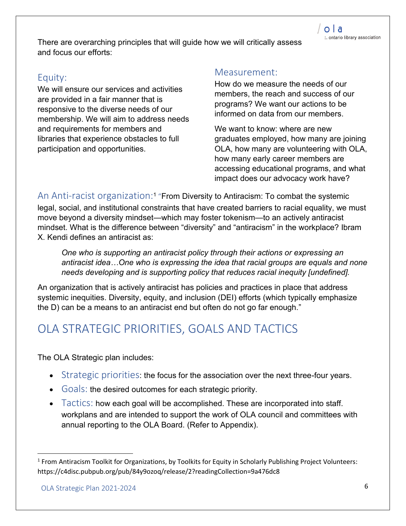There are overarching principles that will guide how we will critically assess and focus our efforts:

#### Equity:

We will ensure our services and activities are provided in a fair manner that is responsive to the diverse needs of our membership. We will aim to address needs and requirements for members and libraries that experience obstacles to full participation and opportunities.

#### Measurement:

How do we measure the needs of our members, the reach and success of our programs? We want our actions to be informed on data from our members.

We want to know: where are new graduates employed, how many are joining OLA, how many are volunteering with OLA, how many early career members are accessing educational programs, and what impact does our advocacy work have?

An Anti-racist organization:<sup>1</sup> "From Diversity to Antiracism: To combat the systemic legal, social, and institutional constraints that have created barriers to racial equality, we must move beyond a diversity mindset—which may foster tokenism—to an actively antiracist mindset. What is the difference between "diversity" and "antiracism" in the workplace? Ibram X. Kendi defines an antiracist as:

*One who is supporting an antiracist policy through their actions or expressing an antiracist idea…One who is expressing the idea that racial groups are equals and none needs developing and is supporting policy that reduces racial inequity [undefined].*

An organization that is actively antiracist has policies and practices in place that address systemic inequities. Diversity, equity, and inclusion (DEI) efforts (which typically emphasize the D) can be a means to an antiracist end but often do not go far enough."

## OLA STRATEGIC PRIORITIES, GOALS AND TACTICS

The OLA Strategic plan includes:

- Strategic priorities: the focus for the association over the next three-four years.
- Goals: the desired outcomes for each strategic priority.
- Tactics: how each goal will be accomplished. These are incorporated into staff. workplans and are intended to support the work of OLA council and committees with annual reporting to the OLA Board. (Refer to Appendix).

<sup>&</sup>lt;sup>1</sup> From Antiracism Toolkit for Organizations, by Toolkits for Equity in Scholarly Publishing Project Volunteers: <https://c4disc.pubpub.org/pub/84y9ozoq/release/2?readingCollection=9a476dc8>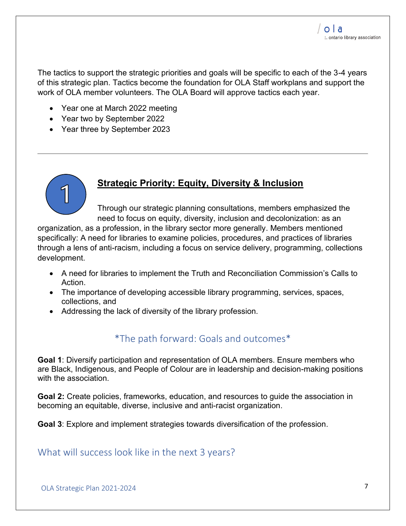The tactics to support the strategic priorities and goals will be specific to each of the 3-4 years of this strategic plan. Tactics become the foundation for OLA Staff workplans and support the work of OLA member volunteers. The OLA Board will approve tactics each year.

- Year one at March 2022 meeting
- Year two by September 2022
- Year three by September 2023



#### **Strategic Priority: Equity, Diversity & Inclusion**

Through our strategic planning consultations, members emphasized the need to focus on equity, diversity, inclusion and decolonization: as an

organization, as a profession, in the library sector more generally. Members mentioned specifically: A need for libraries to examine policies, procedures, and practices of libraries through a lens of anti-racism, including a focus on service delivery, programming, collections development.

- A need for libraries to implement the Truth and Reconciliation Commission's Calls to Action.
- The importance of developing accessible library programming, services, spaces, collections, and
- Addressing the lack of diversity of the library profession.

#### \*The path forward: Goals and outcomes\*

**Goal 1**: Diversify participation and representation of OLA members. Ensure members who are Black, Indigenous, and People of Colour are in leadership and decision-making positions with the association.

**Goal 2:** Create policies, frameworks, education, and resources to guide the association in becoming an equitable, diverse, inclusive and anti-racist organization.

**Goal 3**: Explore and implement strategies towards diversification of the profession.

What will success look like in the next 3 years?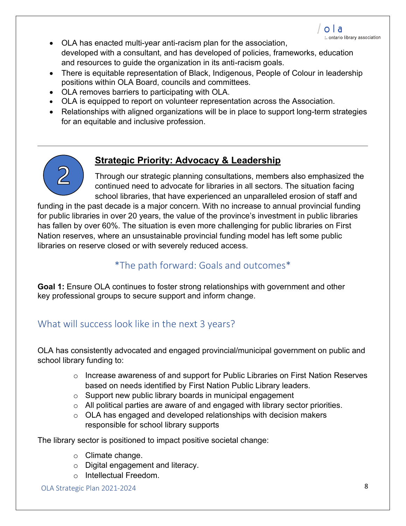- OLA has enacted multi-year anti-racism plan for the association, developed with a consultant, and has developed of policies, frameworks, education and resources to guide the organization in its anti-racism goals.
- There is equitable representation of Black, Indigenous, People of Colour in leadership positions within OLA Board, councils and committees.
- OLA removes barriers to participating with OLA.
- OLA is equipped to report on volunteer representation across the Association.
- Relationships with aligned organizations will be in place to support long-term strategies for an equitable and inclusive profession.



#### **Strategic Priority: Advocacy & Leadership**

Through our strategic planning consultations, members also emphasized the continued need to advocate for libraries in all sectors. The situation facing school libraries, that have experienced an unparalleled erosion of staff and

funding in the past decade is a major concern. With no increase to annual provincial funding for public libraries in over 20 years, the value of the province's investment in public libraries has fallen by over 60%. The situation is even more challenging for public libraries on First Nation reserves, where an unsustainable provincial funding model has left some public libraries on reserve closed or with severely reduced access.

#### \*The path forward: Goals and outcomes\*

**Goal 1:** Ensure OLA continues to foster strong relationships with government and other key professional groups to secure support and inform change.

#### What will success look like in the next 3 years?

OLA has consistently advocated and engaged provincial/municipal government on public and school library funding to:

- $\circ$  Increase awareness of and support for Public Libraries on First Nation Reserves based on needs identified by First Nation Public Library leaders.
- o Support new public library boards in municipal engagement
- o All political parties are aware of and engaged with library sector priorities.
- $\circ$  OLA has engaged and developed relationships with decision makers responsible for school library supports

The library sector is positioned to impact positive societal change:

- o Climate change.
- o Digital engagement and literacy.
- o Intellectual Freedom.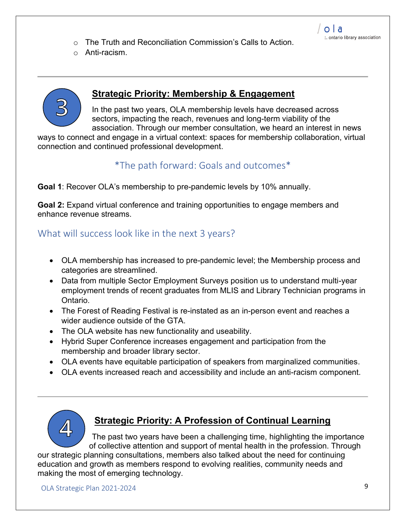- o The Truth and Reconciliation Commission's Calls to Action.
- o Anti-racism.



#### **Strategic Priority: Membership & Engagement**

In the past two years, OLA membership levels have decreased across sectors, impacting the reach, revenues and long-term viability of the association. Through our member consultation, we heard an interest in news

ways to connect and engage in a virtual context: spaces for membership collaboration, virtual connection and continued professional development.

#### \*The path forward: Goals and outcomes\*

**Goal 1**: Recover OLA's membership to pre-pandemic levels by 10% annually.

**Goal 2:** Expand virtual conference and training opportunities to engage members and enhance revenue streams.

#### What will success look like in the next 3 years?

- OLA membership has increased to pre-pandemic level; the Membership process and categories are streamlined.
- Data from multiple Sector Employment Surveys position us to understand multi-year employment trends of recent graduates from MLIS and Library Technician programs in Ontario.
- The Forest of Reading Festival is re-instated as an in-person event and reaches a wider audience outside of the GTA.
- The OLA website has new functionality and useability.
- Hybrid Super Conference increases engagement and participation from the membership and broader library sector.
- OLA events have equitable participation of speakers from marginalized communities.
- OLA events increased reach and accessibility and include an anti-racism component.



#### **Strategic Priority: A Profession of Continual Learning**

The past two years have been a challenging time, highlighting the importance of collective attention and support of mental health in the profession. Through

our strategic planning consultations, members also talked about the need for continuing education and growth as members respond to evolving realities, community needs and making the most of emerging technology.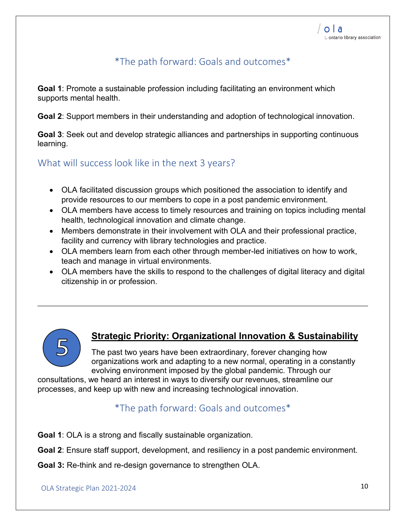#### \*The path forward: Goals and outcomes\*

**Goal 1**: Promote a sustainable profession including facilitating an environment which supports mental health.

**Goal 2**: Support members in their understanding and adoption of technological innovation.

**Goal 3**: Seek out and develop strategic alliances and partnerships in supporting continuous learning.

What will success look like in the next 3 years?

- OLA facilitated discussion groups which positioned the association to identify and provide resources to our members to cope in a post pandemic environment.
- OLA members have access to timely resources and training on topics including mental health, technological innovation and climate change.
- Members demonstrate in their involvement with OLA and their professional practice, facility and currency with library technologies and practice.
- OLA members learn from each other through member-led initiatives on how to work, teach and manage in virtual environments.
- OLA members have the skills to respond to the challenges of digital literacy and digital citizenship in or profession.



#### **Strategic Priority: Organizational Innovation & Sustainability**

The past two years have been extraordinary, forever changing how organizations work and adapting to a new normal, operating in a constantly evolving environment imposed by the global pandemic. Through our

consultations, we heard an interest in ways to diversify our revenues, streamline our processes, and keep up with new and increasing technological innovation.

#### \*The path forward: Goals and outcomes\*

**Goal 1**: OLA is a strong and fiscally sustainable organization.

**Goal 2**: Ensure staff support, development, and resiliency in a post pandemic environment.

**Goal 3:** Re-think and re-design governance to strengthen OLA.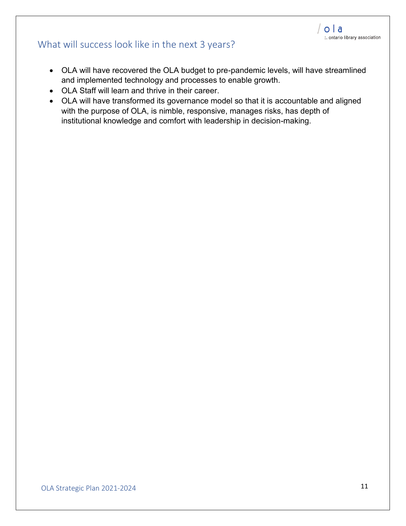#### What will success look like in the next 3 years?

- OLA will have recovered the OLA budget to pre-pandemic levels, will have streamlined and implemented technology and processes to enable growth.
- OLA Staff will learn and thrive in their career.
- OLA will have transformed its governance model so that it is accountable and aligned with the purpose of OLA, is nimble, responsive, manages risks, has depth of institutional knowledge and comfort with leadership in decision-making.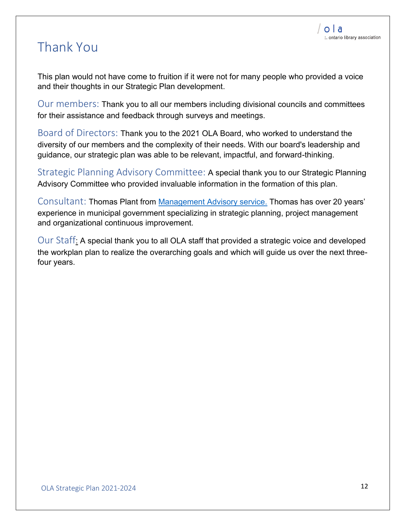# Thank You

This plan would not have come to fruition if it were not for many people who provided a voice and their thoughts in our Strategic Plan development.

Our members: Thank you to all our members including divisional councils and committees for their assistance and feedback through surveys and meetings.

Board of Directors: Thank you to the 2021 OLA Board, who worked to understand the diversity of our members and the complexity of their needs. With our board's leadership and guidance, our strategic plan was able to be relevant, impactful, and forward-thinking.

Strategic Planning Advisory Committee: A special thank you to our Strategic Planning Advisory Committee who provided invaluable information in the formation of this plan.

Consultant: Thomas Plant from [Management Advisory service.](https://masadvise.org/) Thomas has over 20 years' experience in municipal government specializing in strategic planning, project management and organizational continuous improvement.

Our Staff: A special thank you to all OLA staff that provided a strategic voice and developed the workplan plan to realize the overarching goals and which will guide us over the next threefour years.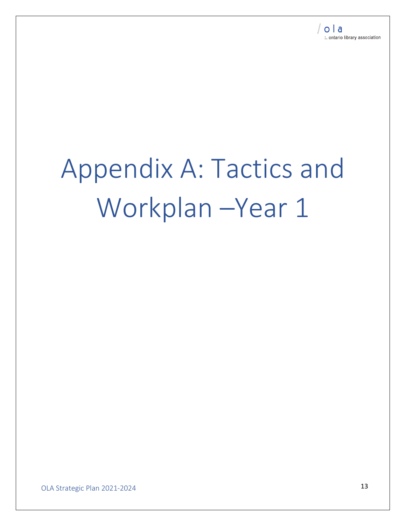# Appendix A: Tactics and Workplan –Year 1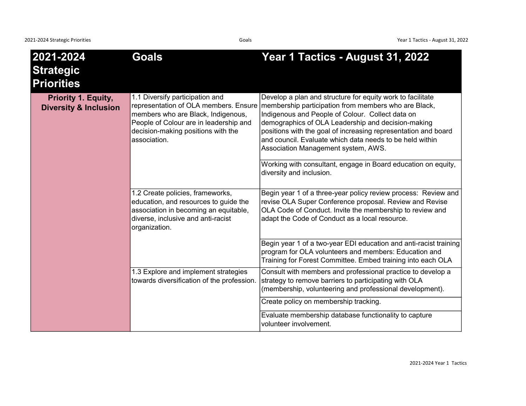| 2021-2024<br><b>Strategic</b><br><b>Priorities</b>             | <b>Goals</b>                                                                                                                                                                                                   | Year 1 Tactics - August 31, 2022                                                                                                                                                                                                                                                                                                                                                                  |
|----------------------------------------------------------------|----------------------------------------------------------------------------------------------------------------------------------------------------------------------------------------------------------------|---------------------------------------------------------------------------------------------------------------------------------------------------------------------------------------------------------------------------------------------------------------------------------------------------------------------------------------------------------------------------------------------------|
| <b>Priority 1. Equity,</b><br><b>Diversity &amp; Inclusion</b> | 1.1 Diversify participation and<br>representation of OLA members. Ensure<br>members who are Black, Indigenous,<br>People of Colour are in leadership and<br>decision-making positions with the<br>association. | Develop a plan and structure for equity work to facilitate<br>membership participation from members who are Black,<br>Indigenous and People of Colour. Collect data on<br>demographics of OLA Leadership and decision-making<br>positions with the goal of increasing representation and board<br>and council. Evaluate which data needs to be held within<br>Association Management system, AWS. |
|                                                                |                                                                                                                                                                                                                | Working with consultant, engage in Board education on equity,<br>diversity and inclusion.                                                                                                                                                                                                                                                                                                         |
|                                                                | 1.2 Create policies, frameworks,<br>education, and resources to guide the<br>association in becoming an equitable,<br>diverse, inclusive and anti-racist<br>organization.                                      | Begin year 1 of a three-year policy review process: Review and<br>revise OLA Super Conference proposal. Review and Revise<br>OLA Code of Conduct. Invite the membership to review and<br>adapt the Code of Conduct as a local resource.                                                                                                                                                           |
|                                                                |                                                                                                                                                                                                                | Begin year 1 of a two-year EDI education and anti-racist training<br>program for OLA volunteers and members: Education and<br>Training for Forest Committee. Embed training into each OLA                                                                                                                                                                                                         |
|                                                                | 1.3 Explore and implement strategies<br>towards diversification of the profession.                                                                                                                             | Consult with members and professional practice to develop a<br>strategy to remove barriers to participating with OLA<br>(membership, volunteering and professional development).                                                                                                                                                                                                                  |
|                                                                |                                                                                                                                                                                                                | Create policy on membership tracking.                                                                                                                                                                                                                                                                                                                                                             |
|                                                                |                                                                                                                                                                                                                | Evaluate membership database functionality to capture<br>volunteer involvement.                                                                                                                                                                                                                                                                                                                   |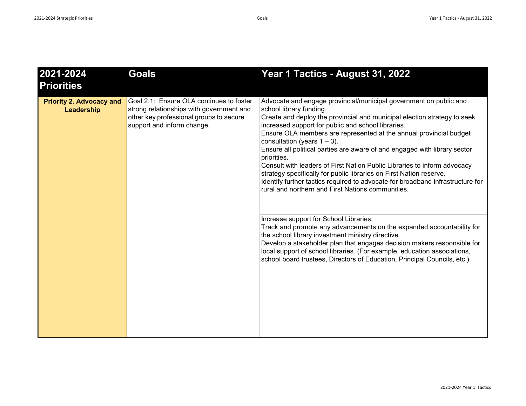| 2021-2024<br><b>Priorities</b>                | <b>Goals</b>                                                                                                                                                  | Year 1 Tactics - August 31, 2022                                                                                                                                                                                                                                                                                                                                                                                                                                                                                                                                                                                                                                                                                                                                                                                                                                                                                                                                                                                                                                                                                                         |
|-----------------------------------------------|---------------------------------------------------------------------------------------------------------------------------------------------------------------|------------------------------------------------------------------------------------------------------------------------------------------------------------------------------------------------------------------------------------------------------------------------------------------------------------------------------------------------------------------------------------------------------------------------------------------------------------------------------------------------------------------------------------------------------------------------------------------------------------------------------------------------------------------------------------------------------------------------------------------------------------------------------------------------------------------------------------------------------------------------------------------------------------------------------------------------------------------------------------------------------------------------------------------------------------------------------------------------------------------------------------------|
| <b>Priority 2. Advocacy and</b><br>Leadership | Goal 2.1: Ensure OLA continues to foster<br>strong relationships with government and<br>other key professional groups to secure<br>support and inform change. | Advocate and engage provincial/municipal government on public and<br>school library funding.<br>Create and deploy the provincial and municipal election strategy to seek<br>increased support for public and school libraries.<br>Ensure OLA members are represented at the annual provincial budget<br>consultation (years $1 - 3$ ).<br>Ensure all political parties are aware of and engaged with library sector<br>priorities.<br>Consult with leaders of First Nation Public Libraries to inform advocacy<br>strategy specifically for public libraries on First Nation reserve.<br>Identify further tactics required to advocate for broadband infrastructure for<br>rural and northern and First Nations communities.<br>Increase support for School Libraries:<br>Track and promote any advancements on the expanded accountability for<br>the school library investment ministry directive.<br>Develop a stakeholder plan that engages decision makers responsible for<br>local support of school libraries. (For example, education associations,<br>school board trustees, Directors of Education, Principal Councils, etc.). |
|                                               |                                                                                                                                                               |                                                                                                                                                                                                                                                                                                                                                                                                                                                                                                                                                                                                                                                                                                                                                                                                                                                                                                                                                                                                                                                                                                                                          |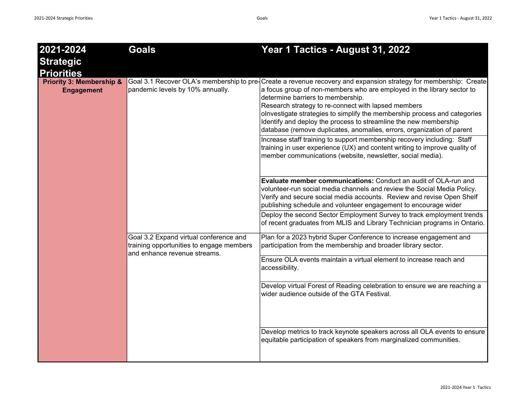| 2021-2024                                                                     | <b>Goals</b>                                                                                                       | Year 1 Tactics - August 31, 2022                                                                                                                                                                                                                                                                                                                                                                                                                                                                                                                                                                                                                                                                                                         |
|-------------------------------------------------------------------------------|--------------------------------------------------------------------------------------------------------------------|------------------------------------------------------------------------------------------------------------------------------------------------------------------------------------------------------------------------------------------------------------------------------------------------------------------------------------------------------------------------------------------------------------------------------------------------------------------------------------------------------------------------------------------------------------------------------------------------------------------------------------------------------------------------------------------------------------------------------------------|
| <b>Strategic</b>                                                              |                                                                                                                    |                                                                                                                                                                                                                                                                                                                                                                                                                                                                                                                                                                                                                                                                                                                                          |
| <b>Priorities</b><br><b>Priority 3: Membership &amp;</b><br><b>Engagement</b> | pandemic levels by 10% annually.                                                                                   | Goal 3.1 Recover OLA's membership to pre-Create a revenue recovery and expansion strategy for membership: Create<br>a focus group of non-members who are employed in the library sector to<br>determine barriers to membership.<br>Research strategy to re-connect with lapsed members<br>olnvestigate strategies to simplify the membership process and categories<br>Identify and deploy the process to streamline the new membership<br>database (remove duplicates, anomalies, errors, organization of parent<br>Increase staff training to support membership recovery including: Staff<br>training in user experience (UX) and content writing to improve quality of<br>member communications (website, newsletter, social media). |
|                                                                               |                                                                                                                    | Evaluate member communications: Conduct an audit of OLA-run and<br>volunteer-run social media channels and review the Social Media Policy.<br>Verify and secure social media accounts. Review and revise Open Shelf<br>publishing schedule and volunteer engagement to encourage wider<br>Deploy the second Sector Employment Survey to track employment trends                                                                                                                                                                                                                                                                                                                                                                          |
|                                                                               |                                                                                                                    | of recent graduates from MLIS and Library Technician programs in Ontario.                                                                                                                                                                                                                                                                                                                                                                                                                                                                                                                                                                                                                                                                |
|                                                                               | Goal 3.2 Expand virtual conference and<br>training opportunities to engage members<br>and enhance revenue streams. | Plan for a 2023 hybrid Super Conference to increase engagement and<br>participation from the membership and broader library sector.                                                                                                                                                                                                                                                                                                                                                                                                                                                                                                                                                                                                      |
|                                                                               |                                                                                                                    | Ensure OLA events maintain a virtual element to increase reach and<br>accessibility.                                                                                                                                                                                                                                                                                                                                                                                                                                                                                                                                                                                                                                                     |
|                                                                               |                                                                                                                    | Develop virtual Forest of Reading celebration to ensure we are reaching a<br>wider audience outside of the GTA Festival.                                                                                                                                                                                                                                                                                                                                                                                                                                                                                                                                                                                                                 |
|                                                                               |                                                                                                                    | Develop metrics to track keynote speakers across all OLA events to ensure<br>equitable participation of speakers from marginalized communities.                                                                                                                                                                                                                                                                                                                                                                                                                                                                                                                                                                                          |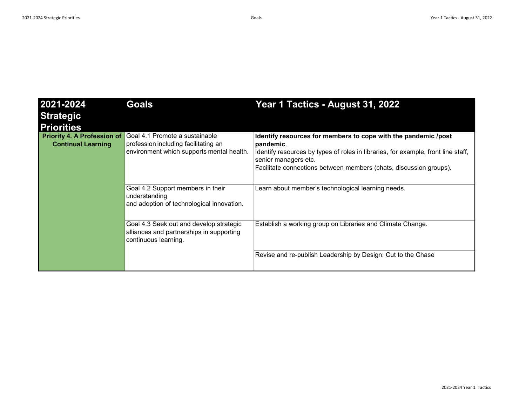| 2021-2024<br><b>Strategic</b><br><b>Priorities</b>              | <b>Goals</b>                                                                                                        | Year 1 Tactics - August 31, 2022                                                                                                                                                                                                                                |
|-----------------------------------------------------------------|---------------------------------------------------------------------------------------------------------------------|-----------------------------------------------------------------------------------------------------------------------------------------------------------------------------------------------------------------------------------------------------------------|
| <b>Priority 4. A Profession of</b><br><b>Continual Learning</b> | Goal 4.1 Promote a sustainable<br>profession including facilitating an<br>environment which supports mental health. | Identify resources for members to cope with the pandemic /post<br>∣pandemic.<br>Identify resources by types of roles in libraries, for example, front line staff,<br>senior managers etc.<br>Facilitate connections between members (chats, discussion groups). |
|                                                                 | Goal 4.2 Support members in their<br>understanding<br>and adoption of technological innovation.                     | Learn about member's technological learning needs.                                                                                                                                                                                                              |
|                                                                 | Goal 4.3 Seek out and develop strategic<br>alliances and partnerships in supporting<br>continuous learning.         | Establish a working group on Libraries and Climate Change.                                                                                                                                                                                                      |
|                                                                 |                                                                                                                     | Revise and re-publish Leadership by Design: Cut to the Chase                                                                                                                                                                                                    |